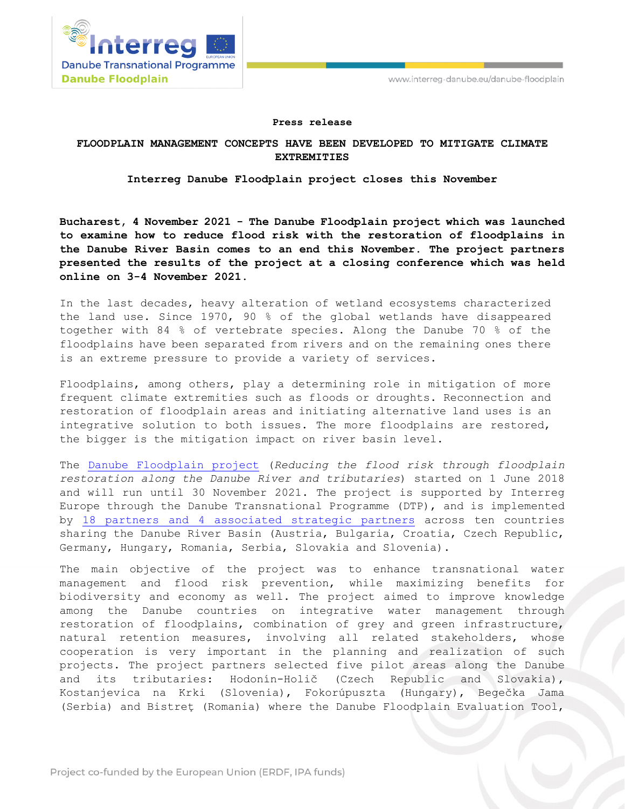

## **Press release**

## **FLOODPLAIN MANAGEMENT CONCEPTS HAVE BEEN DEVELOPED TO MITIGATE CLIMATE EXTREMITIES**

## **Interreg Danube Floodplain project closes this November**

**Bucharest, 4 November 2021 - The Danube Floodplain project which was launched to examine how to reduce flood risk with the restoration of floodplains in the Danube River Basin comes to an end this November. The project partners presented the results of the project at a closing conference which was held online on 3-4 November 2021.** 

In the last decades, heavy alteration of wetland ecosystems characterized the land use. Since 1970, 90 % of the global wetlands have disappeared together with 84 % of vertebrate species. Along the Danube 70 % of the floodplains have been separated from rivers and on the remaining ones there is an extreme pressure to provide a variety of services.

Floodplains, among others, play a determining role in mitigation of more frequent climate extremities such as floods or droughts. Reconnection and restoration of floodplain areas and initiating alternative land uses is an integrative solution to both issues. The more floodplains are restored, the bigger is the mitigation impact on river basin level.

The [Danube Floodplain project](http://www.interreg-danube.eu/approved-projects/danube-floodplain/partners) (*Reducing the flood risk through floodplain restoration along the Danube River and tributaries*) started on 1 June 2018 and will run until 30 November 2021. The project is supported by Interreg Europe through the Danube Transnational Programme (DTP), and is implemented by [18 partners and 4 associated strategic partners](http://www.interreg-danube.eu/approved-projects/danube-floodplain/partners) across ten countries sharing the Danube River Basin (Austria, Bulgaria, Croatia, Czech Republic, Germany, Hungary, Romania, Serbia, Slovakia and Slovenia).

The main objective of the project was to enhance transnational water management and flood risk prevention, while maximizing benefits for biodiversity and economy as well. The project aimed to improve knowledge among the Danube countries on integrative water management through restoration of floodplains, combination of grey and green infrastructure, natural retention measures, involving all related stakeholders, whose cooperation is very important in the planning and realization of such projects. The project partners selected five pilot areas along the Danube and its tributaries: Hodonín-Holič (Czech Republic and Slovakia), Kostanjevica na Krki (Slovenia), Fokorúpuszta (Hungary), Begečka Jama (Serbia) and Bistreţ (Romania) where the Danube Floodplain Evaluation Tool,